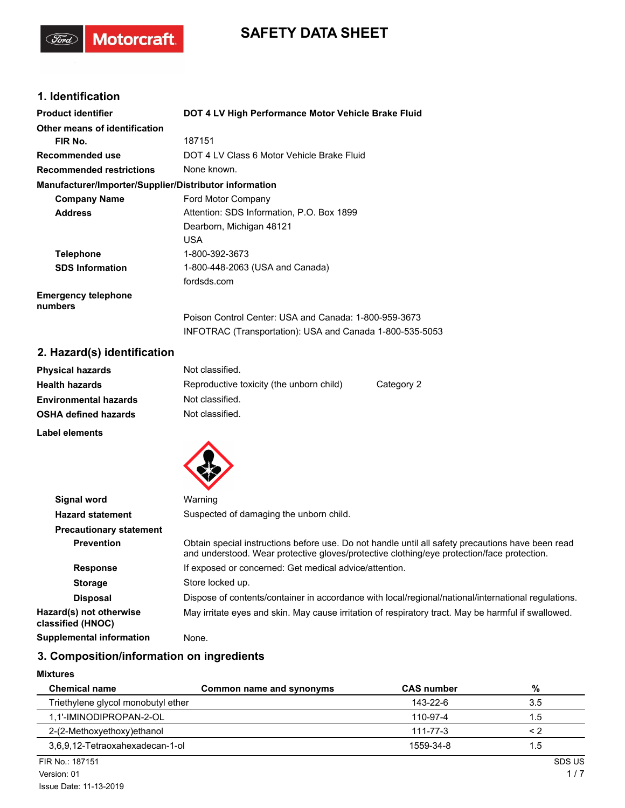# **SAFETY DATA SHEET**

# **1. Identification**

(Ford)

Motorcraft.

| <b>Product identifier</b>                              | DOT 4 LV High Performance Motor Vehicle Brake Fluid      |
|--------------------------------------------------------|----------------------------------------------------------|
| Other means of identification                          |                                                          |
| FIR No.                                                | 187151                                                   |
| <b>Recommended use</b>                                 | DOT 4 LV Class 6 Motor Vehicle Brake Fluid               |
| <b>Recommended restrictions</b>                        | None known.                                              |
| Manufacturer/Importer/Supplier/Distributor information |                                                          |
| <b>Company Name</b>                                    | Ford Motor Company                                       |
| <b>Address</b>                                         | Attention: SDS Information, P.O. Box 1899                |
|                                                        | Dearborn, Michigan 48121                                 |
|                                                        | <b>USA</b>                                               |
| <b>Telephone</b>                                       | 1-800-392-3673                                           |
| <b>SDS Information</b>                                 | 1-800-448-2063 (USA and Canada)                          |
|                                                        | fordsds.com                                              |
| <b>Emergency telephone</b><br>numbers                  |                                                          |
|                                                        | Poison Control Center: USA and Canada: 1-800-959-3673    |
|                                                        | INFOTRAC (Transportation): USA and Canada 1-800-535-5053 |

# **2. Hazard(s) identification**

| <b>Physical hazards</b>      | Not classified.                          |            |
|------------------------------|------------------------------------------|------------|
| <b>Health hazards</b>        | Reproductive toxicity (the unborn child) | Category 2 |
| <b>Environmental hazards</b> | Not classified.                          |            |
| <b>OSHA defined hazards</b>  | Not classified.                          |            |
| Label elements               |                                          |            |



| Signal word                                  | Warning                                                                                                                                                                                         |
|----------------------------------------------|-------------------------------------------------------------------------------------------------------------------------------------------------------------------------------------------------|
| <b>Hazard statement</b>                      | Suspected of damaging the unborn child.                                                                                                                                                         |
| <b>Precautionary statement</b>               |                                                                                                                                                                                                 |
| <b>Prevention</b>                            | Obtain special instructions before use. Do not handle until all safety precautions have been read<br>and understood. Wear protective gloves/protective clothing/eye protection/face protection. |
| <b>Response</b>                              | If exposed or concerned: Get medical advice/attention.                                                                                                                                          |
| <b>Storage</b>                               | Store locked up.                                                                                                                                                                                |
| <b>Disposal</b>                              | Dispose of contents/container in accordance with local/regional/national/international regulations.                                                                                             |
| Hazard(s) not otherwise<br>classified (HNOC) | May irritate eyes and skin. May cause irritation of respiratory tract. May be harmful if swallowed.                                                                                             |
| <b>Supplemental information</b>              | None.                                                                                                                                                                                           |

### **3. Composition/information on ingredients**

### **Mixtures**

| <b>Chemical name</b>               | Common name and synonyms | <b>CAS number</b> | %      |
|------------------------------------|--------------------------|-------------------|--------|
| Triethylene glycol monobutyl ether |                          | 143-22-6          | 3.5    |
| 1.1'-IMINODIPROPAN-2-OL            |                          | 110-97-4          | 1.5    |
| 2-(2-Methoxyethoxy) ethanol        |                          | 111-77-3          | < 2    |
| 3,6,9,12-Tetraoxahexadecan-1-ol    |                          | 1559-34-8         | 1.5    |
| FIR No.: 187151                    |                          |                   | SDS US |
| Version: 01                        |                          |                   | 1/7    |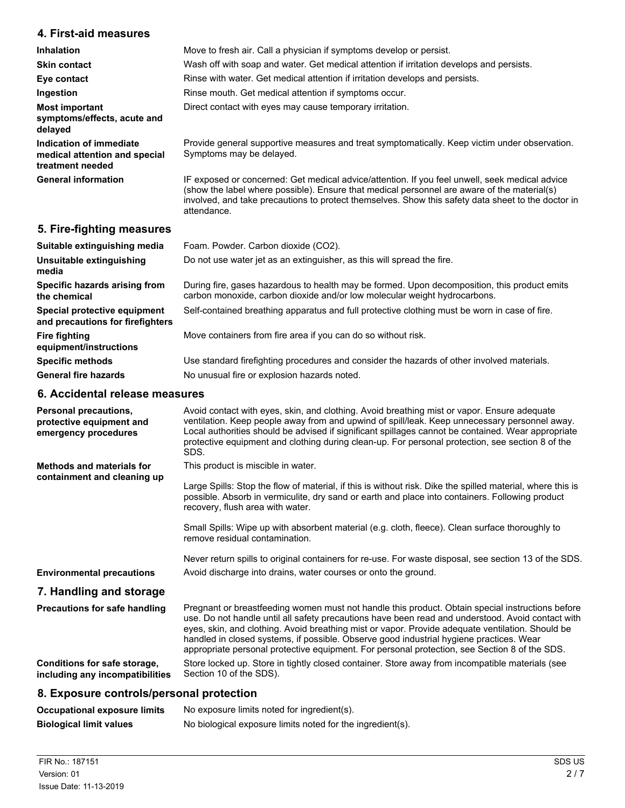### **4. First-aid measures**

| <b>Inhalation</b>                                                            | Move to fresh air. Call a physician if symptoms develop or persist.                                                                                                                                                                                                                                                |
|------------------------------------------------------------------------------|--------------------------------------------------------------------------------------------------------------------------------------------------------------------------------------------------------------------------------------------------------------------------------------------------------------------|
| <b>Skin contact</b>                                                          | Wash off with soap and water. Get medical attention if irritation develops and persists.                                                                                                                                                                                                                           |
| Eye contact                                                                  | Rinse with water. Get medical attention if irritation develops and persists.                                                                                                                                                                                                                                       |
| Ingestion                                                                    | Rinse mouth. Get medical attention if symptoms occur.                                                                                                                                                                                                                                                              |
| <b>Most important</b><br>symptoms/effects, acute and<br>delayed              | Direct contact with eyes may cause temporary irritation.                                                                                                                                                                                                                                                           |
| Indication of immediate<br>medical attention and special<br>treatment needed | Provide general supportive measures and treat symptomatically. Keep victim under observation.<br>Symptoms may be delayed.                                                                                                                                                                                          |
| <b>General information</b>                                                   | IF exposed or concerned: Get medical advice/attention. If you feel unwell, seek medical advice<br>(show the label where possible). Ensure that medical personnel are aware of the material(s)<br>involved, and take precautions to protect themselves. Show this safety data sheet to the doctor in<br>attendance. |

### **5. Fire-fighting measures**

| Suitable extinguishing media                                     | Foam. Powder. Carbon dioxide (CO2).                                                                                                                                       |
|------------------------------------------------------------------|---------------------------------------------------------------------------------------------------------------------------------------------------------------------------|
| Unsuitable extinguishing<br>media                                | Do not use water jet as an extinguisher, as this will spread the fire.                                                                                                    |
| Specific hazards arising from<br>the chemical                    | During fire, gases hazardous to health may be formed. Upon decomposition, this product emits<br>carbon monoxide, carbon dioxide and/or low molecular weight hydrocarbons. |
| Special protective equipment<br>and precautions for firefighters | Self-contained breathing apparatus and full protective clothing must be worn in case of fire.                                                                             |
| <b>Fire fighting</b><br>equipment/instructions                   | Move containers from fire area if you can do so without risk.                                                                                                             |
| <b>Specific methods</b>                                          | Use standard firefighting procedures and consider the hazards of other involved materials.                                                                                |
| <b>General fire hazards</b>                                      | No unusual fire or explosion hazards noted.                                                                                                                               |

# **6. Accidental release measures**

| Personal precautions,<br>protective equipment and<br>emergency procedures | Avoid contact with eyes, skin, and clothing. Avoid breathing mist or vapor. Ensure adequate<br>ventilation. Keep people away from and upwind of spill/leak. Keep unnecessary personnel away.<br>Local authorities should be advised if significant spillages cannot be contained. Wear appropriate<br>protective equipment and clothing during clean-up. For personal protection, see section 8 of the<br>SDS.                                                                                        |
|---------------------------------------------------------------------------|-------------------------------------------------------------------------------------------------------------------------------------------------------------------------------------------------------------------------------------------------------------------------------------------------------------------------------------------------------------------------------------------------------------------------------------------------------------------------------------------------------|
| <b>Methods and materials for</b>                                          | This product is miscible in water.                                                                                                                                                                                                                                                                                                                                                                                                                                                                    |
| containment and cleaning up                                               | Large Spills: Stop the flow of material, if this is without risk. Dike the spilled material, where this is<br>possible. Absorb in vermiculite, dry sand or earth and place into containers. Following product<br>recovery, flush area with water.                                                                                                                                                                                                                                                     |
|                                                                           | Small Spills: Wipe up with absorbent material (e.g. cloth, fleece). Clean surface thoroughly to<br>remove residual contamination.                                                                                                                                                                                                                                                                                                                                                                     |
|                                                                           | Never return spills to original containers for re-use. For waste disposal, see section 13 of the SDS.                                                                                                                                                                                                                                                                                                                                                                                                 |
| <b>Environmental precautions</b>                                          | Avoid discharge into drains, water courses or onto the ground.                                                                                                                                                                                                                                                                                                                                                                                                                                        |
| 7. Handling and storage                                                   |                                                                                                                                                                                                                                                                                                                                                                                                                                                                                                       |
| <b>Precautions for safe handling</b>                                      | Pregnant or breastfeeding women must not handle this product. Obtain special instructions before<br>use. Do not handle until all safety precautions have been read and understood. Avoid contact with<br>eyes, skin, and clothing. Avoid breathing mist or vapor. Provide adequate ventilation. Should be<br>handled in closed systems, if possible. Observe good industrial hygiene practices. Wear<br>appropriate personal protective equipment. For personal protection, see Section 8 of the SDS. |
| Conditions for safe storage,<br>including any incompatibilities           | Store locked up. Store in tightly closed container. Store away from incompatible materials (see<br>Section 10 of the SDS).                                                                                                                                                                                                                                                                                                                                                                            |
| 2 Expecure controls/personal protection                                   |                                                                                                                                                                                                                                                                                                                                                                                                                                                                                                       |

### **8. Exposure controls/personal protection**

| Occupational exposure limits   | No exposure limits noted for ingredient(s).                |
|--------------------------------|------------------------------------------------------------|
| <b>Biological limit values</b> | No biological exposure limits noted for the ingredient(s). |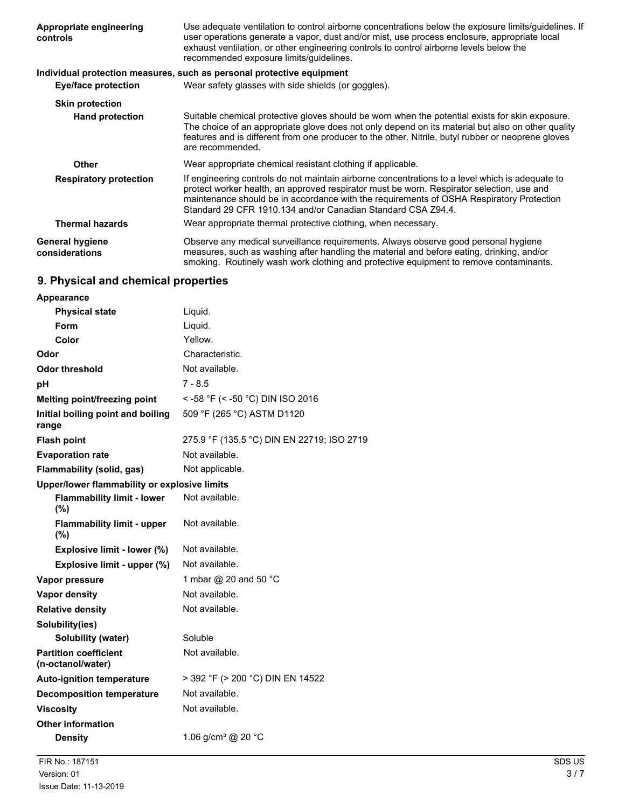| <b>Appropriate engineering</b><br>controls | Use adequate ventilation to control airborne concentrations below the exposure limits/guidelines. If<br>user operations generate a vapor, dust and/or mist, use process enclosure, appropriate local<br>exhaust ventilation, or other engineering controls to control airborne levels below the<br>recommended exposure limits/quidelines.               |
|--------------------------------------------|----------------------------------------------------------------------------------------------------------------------------------------------------------------------------------------------------------------------------------------------------------------------------------------------------------------------------------------------------------|
|                                            | Individual protection measures, such as personal protective equipment                                                                                                                                                                                                                                                                                    |
| Eye/face protection                        | Wear safety glasses with side shields (or goggles).                                                                                                                                                                                                                                                                                                      |
| <b>Skin protection</b>                     |                                                                                                                                                                                                                                                                                                                                                          |
| <b>Hand protection</b>                     | Suitable chemical protective gloves should be worn when the potential exists for skin exposure.<br>The choice of an appropriate glove does not only depend on its material but also on other quality<br>features and is different from one producer to the other. Nitrile, butyl rubber or neoprene gloves<br>are recommended.                           |
| <b>Other</b>                               | Wear appropriate chemical resistant clothing if applicable.                                                                                                                                                                                                                                                                                              |
| <b>Respiratory protection</b>              | If engineering controls do not maintain airborne concentrations to a level which is adequate to<br>protect worker health, an approved respirator must be worn. Respirator selection, use and<br>maintenance should be in accordance with the requirements of OSHA Respiratory Protection<br>Standard 29 CFR 1910.134 and/or Canadian Standard CSA Z94.4. |
| <b>Thermal hazards</b>                     | Wear appropriate thermal protective clothing, when necessary.                                                                                                                                                                                                                                                                                            |
| <b>General hygiene</b><br>considerations   | Observe any medical surveillance requirements. Always observe good personal hygiene<br>measures, such as washing after handling the material and before eating, drinking, and/or<br>smoking. Routinely wash work clothing and protective equipment to remove contaminants.                                                                               |

# **9. Physical and chemical properties**

| Appearance                                        |                                            |
|---------------------------------------------------|--------------------------------------------|
| <b>Physical state</b>                             | Liquid.                                    |
| Form                                              | Liquid.                                    |
| Color                                             | Yellow.                                    |
| Odor                                              | Characteristic.                            |
| Odor threshold                                    | Not available.                             |
| рH                                                | 7 - 8.5                                    |
| <b>Melting point/freezing point</b>               | < -58 °F (< -50 °C) DIN ISO 2016           |
| Initial boiling point and boiling<br>range        | 509 °F (265 °C) ASTM D1120                 |
| <b>Flash point</b>                                | 275.9 °F (135.5 °C) DIN EN 22719; ISO 2719 |
| <b>Evaporation rate</b>                           | Not available.                             |
| Flammability (solid, gas)                         | Not applicable.                            |
| Upper/lower flammability or explosive limits      |                                            |
| <b>Flammability limit - lower</b><br>(%)          | Not available.                             |
| <b>Flammability limit - upper</b><br>(%)          | Not available.                             |
| Explosive limit - lower (%)                       | Not available.                             |
| Explosive limit - upper (%)                       | Not available.                             |
| Vapor pressure                                    | 1 mbar @ 20 and 50 °C                      |
| <b>Vapor density</b>                              | Not available.                             |
| <b>Relative density</b>                           | Not available.                             |
| Solubility(ies)                                   |                                            |
| Solubility (water)                                | Soluble                                    |
| <b>Partition coefficient</b><br>(n-octanol/water) | Not available.                             |
| <b>Auto-ignition temperature</b>                  | > 392 °F (> 200 °C) DIN EN 14522           |
| <b>Decomposition temperature</b>                  | Not available.                             |
| <b>Viscosity</b>                                  | Not available.                             |
| <b>Other information</b>                          |                                            |
| <b>Density</b>                                    | 1.06 g/cm <sup>3</sup> @ 20 °C             |
|                                                   |                                            |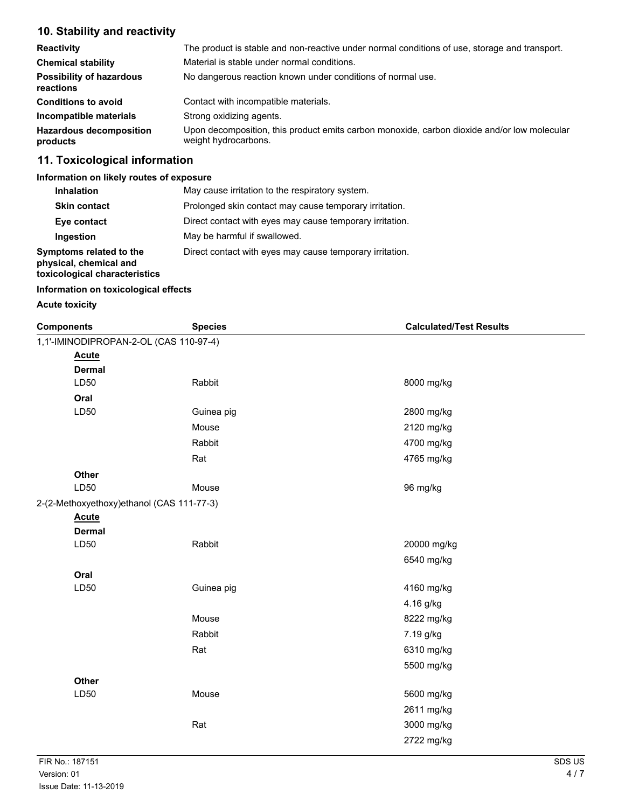# **10. Stability and reactivity**

| <b>Reactivity</b>                            | The product is stable and non-reactive under normal conditions of use, storage and transport.                       |
|----------------------------------------------|---------------------------------------------------------------------------------------------------------------------|
| <b>Chemical stability</b>                    | Material is stable under normal conditions.                                                                         |
| <b>Possibility of hazardous</b><br>reactions | No dangerous reaction known under conditions of normal use.                                                         |
| <b>Conditions to avoid</b>                   | Contact with incompatible materials.                                                                                |
| Incompatible materials                       | Strong oxidizing agents.                                                                                            |
| <b>Hazardous decomposition</b><br>products   | Upon decomposition, this product emits carbon monoxide, carbon dioxide and/or low molecular<br>weight hydrocarbons. |

# **11. Toxicological information**

### **Information on likely routes of exposure**

| <b>Inhalation</b>                                                                  | May cause irritation to the respiratory system.          |
|------------------------------------------------------------------------------------|----------------------------------------------------------|
| <b>Skin contact</b>                                                                | Prolonged skin contact may cause temporary irritation.   |
| Eye contact                                                                        | Direct contact with eyes may cause temporary irritation. |
| Ingestion                                                                          | May be harmful if swallowed.                             |
| Symptoms related to the<br>physical, chemical and<br>toxicological characteristics | Direct contact with eyes may cause temporary irritation. |

### **Information on toxicological effects**

### **Acute toxicity**

| <b>Components</b>                         | <b>Species</b> | <b>Calculated/Test Results</b> |
|-------------------------------------------|----------------|--------------------------------|
| 1,1'-IMINODIPROPAN-2-OL (CAS 110-97-4)    |                |                                |
| <b>Acute</b>                              |                |                                |
| <b>Dermal</b>                             |                |                                |
| LD50                                      | Rabbit         | 8000 mg/kg                     |
| Oral                                      |                |                                |
| LD50                                      | Guinea pig     | 2800 mg/kg                     |
|                                           | Mouse          | 2120 mg/kg                     |
|                                           | Rabbit         | 4700 mg/kg                     |
|                                           | Rat            | 4765 mg/kg                     |
| Other                                     |                |                                |
| LD50                                      | Mouse          | 96 mg/kg                       |
| 2-(2-Methoxyethoxy)ethanol (CAS 111-77-3) |                |                                |
| <b>Acute</b>                              |                |                                |
| <b>Dermal</b>                             |                |                                |
| LD50                                      | Rabbit         | 20000 mg/kg                    |
|                                           |                | 6540 mg/kg                     |
| Oral                                      |                |                                |
| LD50                                      | Guinea pig     | 4160 mg/kg                     |
|                                           |                | 4.16 g/kg                      |
|                                           | Mouse          | 8222 mg/kg                     |
|                                           | Rabbit         | 7.19 g/kg                      |
|                                           | Rat            | 6310 mg/kg                     |
|                                           |                | 5500 mg/kg                     |
| Other                                     |                |                                |
| LD50                                      | Mouse          | 5600 mg/kg                     |
|                                           |                | 2611 mg/kg                     |
|                                           | Rat            | 3000 mg/kg                     |
|                                           |                | 2722 mg/kg                     |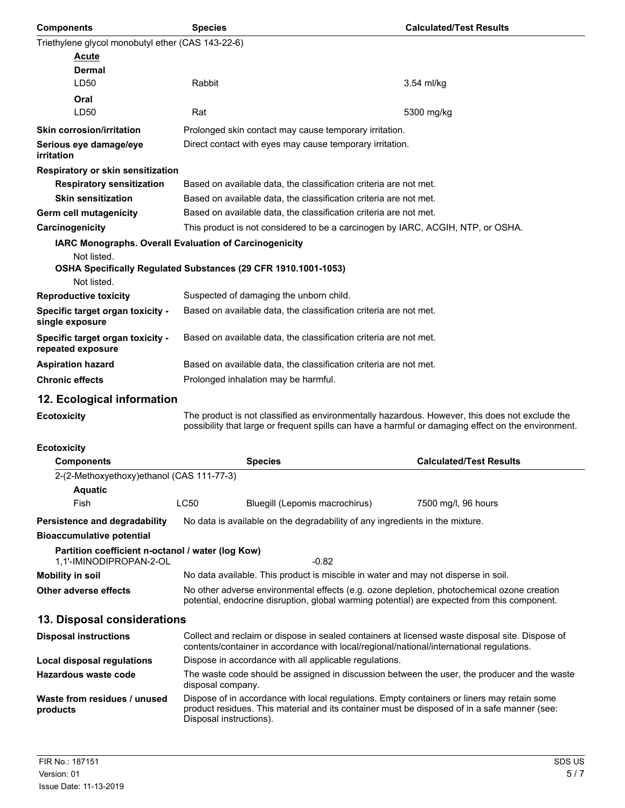| <b>Components</b>                                                            | <b>Species</b>                                                                                                                                                                                                         | <b>Calculated/Test Results</b> |
|------------------------------------------------------------------------------|------------------------------------------------------------------------------------------------------------------------------------------------------------------------------------------------------------------------|--------------------------------|
| Triethylene glycol monobutyl ether (CAS 143-22-6)                            |                                                                                                                                                                                                                        |                                |
| <b>Acute</b>                                                                 |                                                                                                                                                                                                                        |                                |
| Dermal                                                                       |                                                                                                                                                                                                                        |                                |
| LD50                                                                         | Rabbit                                                                                                                                                                                                                 | 3.54 ml/kg                     |
| Oral<br>LD50                                                                 | Rat                                                                                                                                                                                                                    | 5300 mg/kg                     |
| <b>Skin corrosion/irritation</b>                                             | Prolonged skin contact may cause temporary irritation.                                                                                                                                                                 |                                |
| Serious eye damage/eye                                                       | Direct contact with eyes may cause temporary irritation.                                                                                                                                                               |                                |
| irritation                                                                   |                                                                                                                                                                                                                        |                                |
| Respiratory or skin sensitization                                            |                                                                                                                                                                                                                        |                                |
| <b>Respiratory sensitization</b>                                             | Based on available data, the classification criteria are not met.                                                                                                                                                      |                                |
| <b>Skin sensitization</b>                                                    | Based on available data, the classification criteria are not met.                                                                                                                                                      |                                |
| Germ cell mutagenicity                                                       | Based on available data, the classification criteria are not met.                                                                                                                                                      |                                |
| Carcinogenicity                                                              | This product is not considered to be a carcinogen by IARC, ACGIH, NTP, or OSHA.                                                                                                                                        |                                |
|                                                                              | IARC Monographs. Overall Evaluation of Carcinogenicity                                                                                                                                                                 |                                |
| Not listed.                                                                  | OSHA Specifically Regulated Substances (29 CFR 1910.1001-1053)                                                                                                                                                         |                                |
| Not listed.                                                                  |                                                                                                                                                                                                                        |                                |
| <b>Reproductive toxicity</b>                                                 | Suspected of damaging the unborn child.                                                                                                                                                                                |                                |
| Specific target organ toxicity -<br>single exposure                          | Based on available data, the classification criteria are not met.                                                                                                                                                      |                                |
| Specific target organ toxicity -<br>repeated exposure                        | Based on available data, the classification criteria are not met.                                                                                                                                                      |                                |
| <b>Aspiration hazard</b>                                                     | Based on available data, the classification criteria are not met.                                                                                                                                                      |                                |
| <b>Chronic effects</b>                                                       | Prolonged inhalation may be harmful.                                                                                                                                                                                   |                                |
| 12. Ecological information                                                   |                                                                                                                                                                                                                        |                                |
| <b>Ecotoxicity</b>                                                           | The product is not classified as environmentally hazardous. However, this does not exclude the<br>possibility that large or frequent spills can have a harmful or damaging effect on the environment.                  |                                |
| <b>Ecotoxicity</b>                                                           |                                                                                                                                                                                                                        |                                |
| <b>Components</b>                                                            | <b>Species</b>                                                                                                                                                                                                         | <b>Calculated/Test Results</b> |
| 2-(2-Methoxyethoxy)ethanol (CAS 111-77-3)<br><b>Aquatic</b>                  |                                                                                                                                                                                                                        |                                |
| Fish                                                                         | LC50<br>Bluegill (Lepomis macrochirus)                                                                                                                                                                                 | 7500 mg/l, 96 hours            |
| Persistence and degradability                                                | No data is available on the degradability of any ingredients in the mixture.                                                                                                                                           |                                |
| <b>Bioaccumulative potential</b>                                             |                                                                                                                                                                                                                        |                                |
| Partition coefficient n-octanol / water (log Kow)<br>1,1'-IMINODIPROPAN-2-OL | $-0.82$                                                                                                                                                                                                                |                                |
| <b>Mobility in soil</b>                                                      | No data available. This product is miscible in water and may not disperse in soil.                                                                                                                                     |                                |
| <b>Other adverse effects</b>                                                 | No other adverse environmental effects (e.g. ozone depletion, photochemical ozone creation<br>potential, endocrine disruption, global warming potential) are expected from this component.                             |                                |
| 13. Disposal considerations                                                  |                                                                                                                                                                                                                        |                                |
| <b>Disposal instructions</b>                                                 | Collect and reclaim or dispose in sealed containers at licensed waste disposal site. Dispose of<br>contents/container in accordance with local/regional/national/international regulations.                            |                                |
| Local disposal regulations                                                   | Dispose in accordance with all applicable regulations.                                                                                                                                                                 |                                |
| <b>Hazardous waste code</b>                                                  | The waste code should be assigned in discussion between the user, the producer and the waste<br>disposal company.                                                                                                      |                                |
| Waste from residues / unused<br>products                                     | Dispose of in accordance with local regulations. Empty containers or liners may retain some<br>product residues. This material and its container must be disposed of in a safe manner (see:<br>Disposal instructions). |                                |
|                                                                              |                                                                                                                                                                                                                        |                                |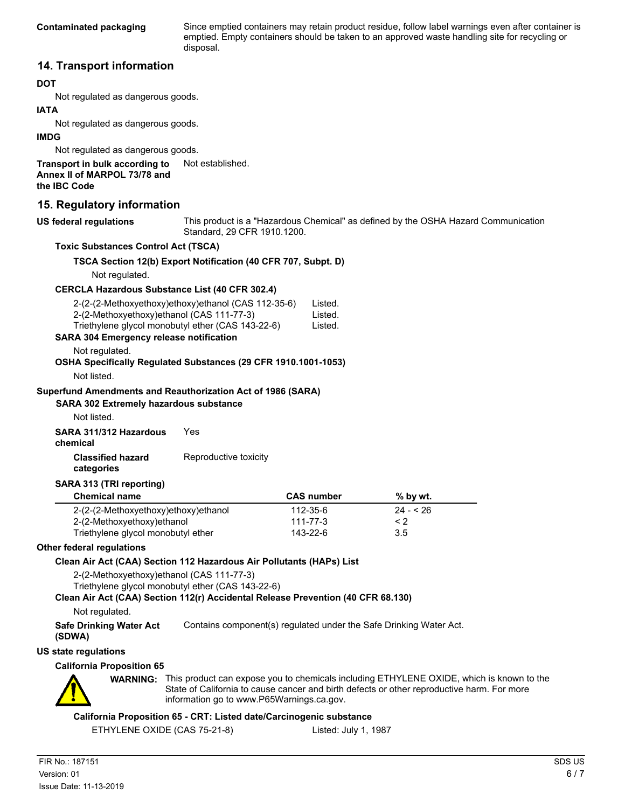Since emptied containers may retain product residue, follow label warnings even after container is emptied. Empty containers should be taken to an approved waste handling site for recycling or disposal.

### **14. Transport information**

### **DOT**

Not regulated as dangerous goods.

#### **IATA**

Not regulated as dangerous goods.

### **IMDG**

Not regulated as dangerous goods.

**Transport in bulk according to** Not established. **Annex II of MARPOL 73/78 and the IBC Code**

### **15. Regulatory information**

**US federal regulations**

This product is a "Hazardous Chemical" as defined by the OSHA Hazard Communication Standard, 29 CFR 1910.1200.

### **Toxic Substances Control Act (TSCA)**

### **TSCA Section 12(b) Export Notification (40 CFR 707, Subpt. D)**

Not regulated.

### **CERCLA Hazardous Substance List (40 CFR 302.4)**

| 2-(2-(2-Methoxyethoxy)ethoxy)ethanol (CAS 112-35-6) | Listed. |
|-----------------------------------------------------|---------|
| 2-(2-Methoxyethoxy) ethanol (CAS 111-77-3)          | Listed. |
| Triethylene glycol monobutyl ether (CAS 143-22-6)   | Listed. |

### **SARA 304 Emergency release notification**

Not regulated.

#### **OSHA Specifically Regulated Substances (29 CFR 1910.1001-1053)**

Not listed.

#### **Superfund Amendments and Reauthorization Act of 1986 (SARA)**

**SARA 302 Extremely hazardous substance**

Not listed.

**SARA 311/312 Hazardous** Yes

**chemical**

### **Classified hazard** Reproductive toxicity

**categories**

#### **SARA 313 (TRI reporting)**

| <b>Chemical name</b>                 | <b>CAS number</b> | % by wt.  |
|--------------------------------------|-------------------|-----------|
| 2-(2-(2-Methoxyethoxy)ethoxy)ethanol | 112-35-6          | $24 - 26$ |
| 2-(2-Methoxyethoxy)ethanol           | $111 - 77 - 3$    | $\leq$ 2  |
| Triethylene glycol monobutyl ether   | 143-22-6          | 3.5       |

#### **Other federal regulations**

### **Clean Air Act (CAA) Section 112 Hazardous Air Pollutants (HAPs) List**

2-(2-Methoxyethoxy)ethanol (CAS 111-77-3)

Triethylene glycol monobutyl ether (CAS 143-22-6)

### **Clean Air Act (CAA) Section 112(r) Accidental Release Prevention (40 CFR 68.130)**

Not regulated.

**Safe Drinking Water Act** Contains component(s) regulated under the Safe Drinking Water Act.

**(SDWA)**

**US state regulations**

#### **California Proposition 65**



**WARNING:** This product can expose you to chemicals including ETHYLENE OXIDE, which is known to the State of California to cause cancer and birth defects or other reproductive harm. For more information go to www.P65Warnings.ca.gov.

### **California Proposition 65 - CRT: Listed date/Carcinogenic substance**

ETHYLENE OXIDE (CAS 75-21-8) Listed: July 1, 1987